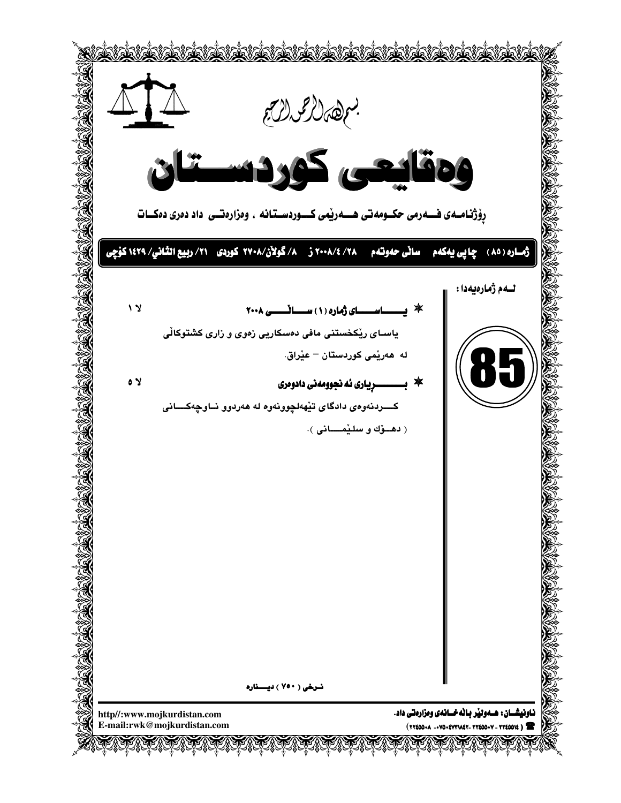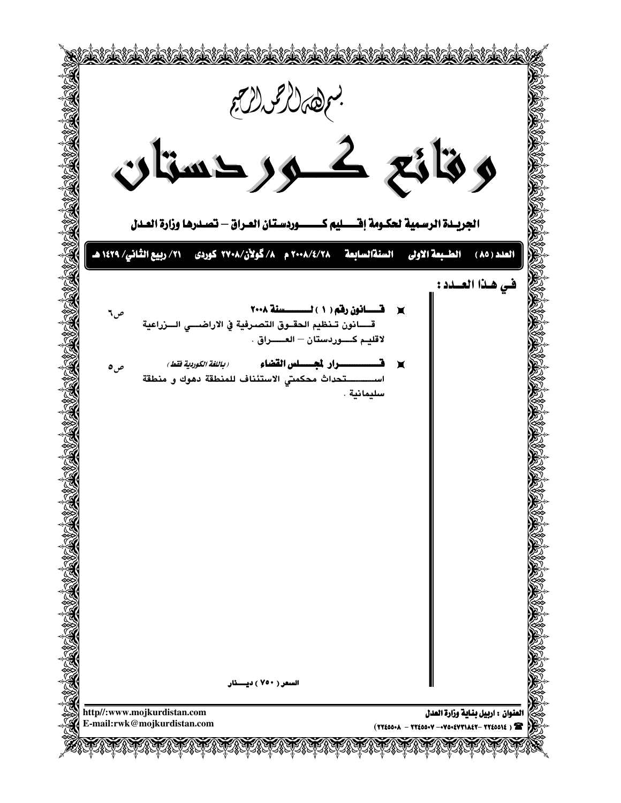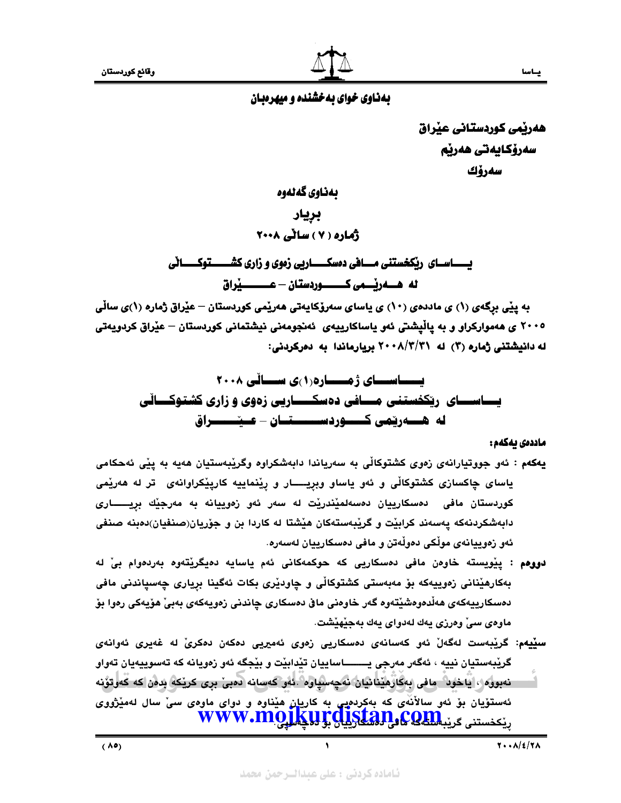# بهناوی خوای بهخشنده و میهرهبان

هەربمى كوردستانى عيراق سەرۆكايەتى ھەرپم سەرۆك

بەناوي گەنەوە

بريار ڈمارہ ( Y ) ساٹی ۲۰۰۸

يــــــــاســـاي ريكخستني مـــــافي دهسكـــــــاريي زهوي و زاري كشــــــــتوكــــــاني 

به پێی برگەی (۱) ی ماددەی (۱۰) ی پاسای سەرۆکاپەتی ھەرپّمی کوردستان – عیّراق ژمارە (۱)ی ساڵی ۲۰۰۵ ی هەموارکراو و به پاڵیشتی ئەو پاساکارییەی ئەنجومەنی نیشتمانی کوردستان – عیّراق کردویەتی له دانیشتنی ژماره (۲) له ۲۰۰۸/۳/۲۱ بریارماندا به دهرکردنی:

# ماددەى يەكەم :

- يهکهم : ئەو جووتيارانەي زەوي کشتوکالّى بە سەرياندا دابەشکراوە وگريبەستيان ھەيە بە ييّى ئەحکامى ياسای چاکسازی کشتوکاڵی و ئەو ياساو وبريــــار و رِيْنماييه کارپِيْکراوانەی۔تر له هەريْمی کوردستان مافی دەسکارییان دەسەلمێندرێت لە سەر ئەو زەوييانە بە مەرجێك بريـــــارى دابهشکردنهکه پهسهند کرابێت و گرێِبهستهکان هێشتا له کاردا بن و جۆرپان(صنفیان)دمبنه صنفی ئەو زەوييانەي مولْكى دەولْەتن و مافى دەسكارييان لەسەرە.
- دووهم : يێويسته خاوەن مافى دەسكاريى كه حوكمەكانى ئەم ياسايە دەيگرێتەوە بەردەوام بىٚ لە بهکارهێنانی زەوييەکە بۆ مەبەستى کشتوکاڵی و چاودێری بکات ئەگینا برياری چەسپاندنی مافی دەسكارييەكەي ھەڵدەوەشێتەوە گەر خاوەنى ماڧى دەسكارى چاندنى زەويەكەي بەبىٚ ھۆيەكى رەوا بۆ ماوەي سىٰ وەرزى يەك لەدواي يەك بەجێھێشت.
- سێيهم: گرێبەست لەگەلٚ ئەو كەسانەي دەسكاريى زەوي ئەمیريى دەكەن دەكرىٚ لە غەيرى ئەوانەي گريڊهستيان نييه ، ئەگەر مەرجى يـــــــــاساييان تێدابێت و بێجگه ئەو زەويانە كە تەسوپيەيان تەواو نەبورە ، يَاخون مافى بەكارەينانيان نەچەسپاوە .ئەر كەسانە دەبى برى كريكە بدەن كە كەرتۇنە ئهستۆيان بۆ ئەو سالاْنەی کە بەکردەيى بە کاريان ھێناوە و دوای ماوەی سىٰ سال لەمێژووی ݕێ<sup>ݤڂستنی ڲ</sup>رێؠ**۩ڲ۞ۥۮۣڸڲڸڸڸ۩۩؆؇٧٧**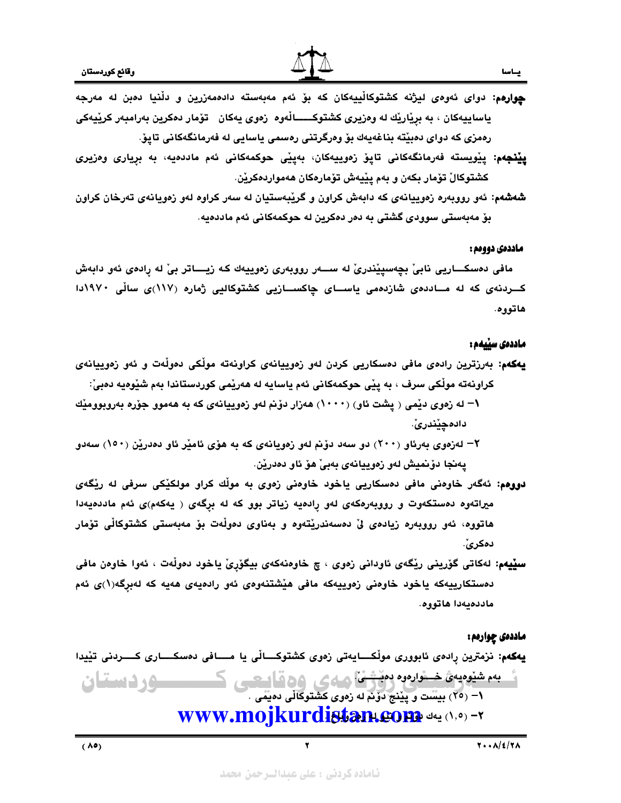

- چوارهم: دوای ئەوەی لیژنه کشتوکاڵییەکان که بۆ ئەم مەبەستە دادەمەزرین و دڵنیا دەبن لە مەرجە ياساييەكان ، بە برياريْك لە وەزيرى كشتوكـــــالْەوە زەوى يەكان تۆمار دەكرين بەرامبەر كريْيەكى رەمزى كە دواي دەبێتە بناغەيەك بۆ وەرگرتنى رەسمى ياسايى لە فەرمانگەكانى تاپۆ
- **پێنجهم**: پێویسته فەرمانگەکانی تاپۆ زەوييەكان، بەپێی حوکمەکانی ئەم ماددەيە، بە برِياری وەزیری كشتوكالْ تۆمار بكەن و بەم پێيەش تۆمارەكان ھەمواردەكرێن.
- **شەشەم**: ئەو رووبەرە زەوييانەى كە دابەش كراون و گرێبەستيان لە سەر كراوە لەو زەويانەى تەرخان كراون بۆ مەبەستى سوودى گشتى بە دەر دەكرين لە حوكمەكانى ئەم ماددەيە.

### ماددهی دووهم :

ياس

مافي دهسكـــاريي نابيّ بچەسپێندريّ له ســـهر رووبەري زەوييەك كـه زيــــاتر بيّ له رادەي ئەو دابەش کـــردنهی که له مـــاددهی شازدهمی یاســـای چاکســـازیی کشتوکالیی ژماره (۱۱۷)ی سالْی ۱۹۷۰دا هاتووه.

### ماددەى سىيەم :

- يهكهم: بەرزترين رادەی مافی دەسكاريی كردن لەو زەوييانەی كراونەتە مولّکی دەولّەت و ئەو زەوييانەی كراونهته مولّكى سرف ، به پێى حوكمهكانى ئهم ياسايه له هەرێمى كوردستاندا بهم شێوەيه دەبىّ: \— له زەوى دێمى ﴿ پِشت ئاو ) (١٠٠٠) هەزار دۆنم لەو زەوييانەى كە بە ھەموو جۆرە بەروبوومێك دادەچێندرێٚ.
- ۲– لەزەوى بەرئاو (۲۰۰) دو سەد دۆنم لەو زەويانەى كە بە ھۆى ئامێر ئاو دەدرێن (۱۰۰) سەدو پەنجا دۆنميش لەو زەوييانەى بەبى ھۆ ئاو دەدرێن.
- دووهم: ئەگەر خاوەنى مافى دەسكاريى ياخود خاوەنى زەوى بە موڵك كراو مولكێكى سرفى لە رێگەى میراتهوه دهستکهوت و رووبهرهکهی لهو رِادهیه زیاتر بوو که له برِگهی ( یهکهم)ی ئهم ماددهیهدا هاتووه، ئەو رووبەرە زيادەى لىْ دەسەندريْتەوە و بەناوى دەولەت بۆ مەبەستى كشتوكالْى تۆمار دەكرىّ.
- سێيهم: لهکاتی گۆرينی رێگەی ئاودانی زەوی ، چ خاوەنەکەی بيگۆرِیّ ياخود دەوڵەت ، ئەوا خاوەن مافی دهستکارییهکه یاخود خاوهنی زهوییهکه مافی هیشتنهوهی ئهو رادهیهی ههیه که لهبرگه(۱)ی ئهم ماددهيهدا هاتووه.

#### ماددەی چوارەم :

<u>گ به شیویه، خشاره و منشها مه ی وه قاییهی کسیستورد استان</u> www.mojkurdistan.com يهكهم: نزمترين رادەی ئابووری مولْکـــايەتى زەوی كشتوكـــالْی يا مــــافی دەسكــــاری كــــردنی تێيدا ۱– (۲٥) بیست و پێنج دَوْنَم له زەوى كَشْتوكالْي دەيمَّى .

Ξ ٦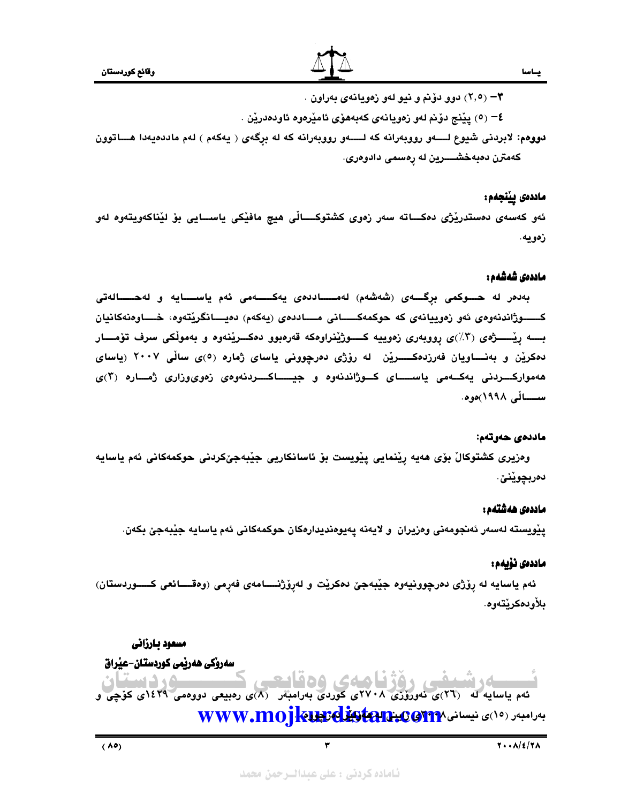۰۳ (۲٫۵) دوو دوّنم و نيو لهو زمويانهي بهراون .

٤− (٥) يێنج دۆنم لەو زەويانەي كەبەھۆي ئامێرەوە ئاودەدرێن .

دووهم: لابردنی شيوع لـــــهو رووبهرانه که لـــــهو رووبهرانه که له برگهی ( يهکهم ) لهم ماددهيهدا هــــاتوون كەمترن دەبەخشـــــرين لە رەسمى دادوەرى.

### ماددەى يېنجەم:

ئەو كەسەي دەستدرێژي دەكـــاتە سەر زەوي كشتوكــــاڵى ھيچ مافێكى ياســـايي بۆ لێناكەويتەوە لەو زەويە.

### ماددەى شەشەم :

بەدەر لە حــوكمى برگـــەى (شەشەم) لەمــــاددەى يەكــــەمى ئەم ياســـايە و لەحــــالەتى كـــــوژاندنەوەي ئەو زەوييانەي كە حوكمەكـــــانى مــــاددەي (پەكەم) دەيــــانگريتەوە، خــــاوەنەكانيان بـــه رِيْـــــژەي (٣٪)ي رووبەري زەوييە كــــوژێنراوەكە قەرەبوو دەكـــرێنەوە و بەموڵكى سرف تۆمــــار دهکرێن و بهنــــاویان فهرزدهکــــــرێن له رۆژی دهرچوونی یاسای ژماره (٥)ی ساڵی ۲۰۰۷ (یاسای هەمواركــــردنى يەكـــەمى ياســـــاى كـــوژاندنەوە و جيــــــاكـــــردنەوەى زەوىوزارى ژمــــارە (٢)ى ســـائى ١٩٩٨)ەوە.

### ماددەي ھەوتەم:

وەزيرى كشتوكالْ بۆي ھەيە رێنمايى يێويست بۆ ئاسانكاريى جێبەجێكردنى حوكمەكانى ئەم ياسايە دەربچوپنى ِ

### ماددەى ھەشتەم :

يێويسته لەسەر ئەنجومەنى وەزيران و لايەنە يەيوەنديدارەكان حوكمەكانى ئەم ياسايە جێبەجێ بكەن.

### ماددەى نۆيەم :

ئهم ياسايه له رِۆژى دەرچوونيەوە جێبەجێ دەكرێت و لەرِۆژنــــامەی فەرِمى (وەقـــائعى كـــــوردستان) بلأو دەكرنتەو ھ.

مسعود بارزاني سەرۆكى ھەريمى كوردستان-عيراق ئهم یاسایه له (۲٦)ی نهوروّزی ۲۷۰۸ی کوردی بهرامبهر (۸)ی رهبیعی دووهمی ۱٤۲۹ی کوچی و WWW.MOJRUSCLESERIE:COMP JAUNO UP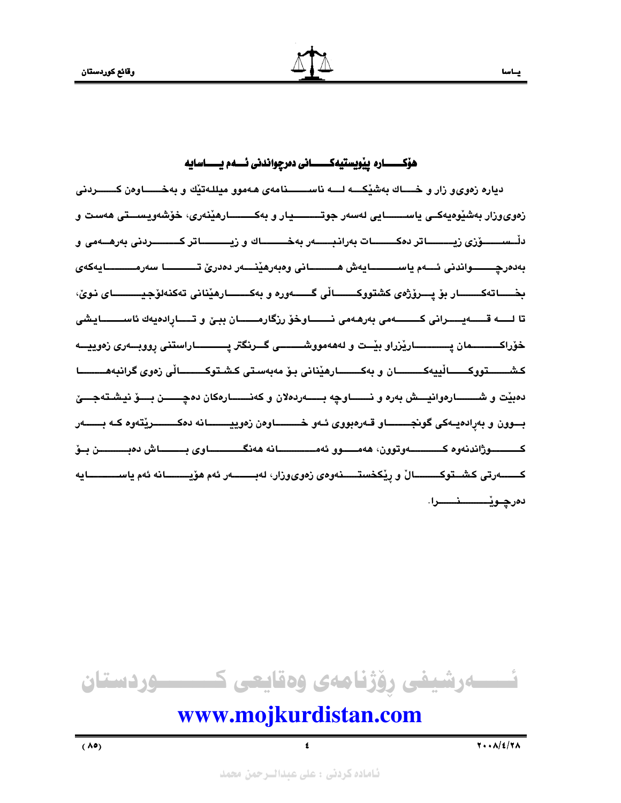# هۆكـــــــــاره ييويستيەكــــــــانى دەرچواندنى ئـــــهم يـــــــاسايه

دياره زەوي، زار و خــــاك بەشێكــــه لــــه ناســــــنامەي ھەموو مىللـەتێك و بەخــــــاوەن كـــــــردنى زەوي وزار بەشێوەيەكــى ياســــــــايى لەسەر جوتــــــــــيار و بەكـــــــــارھێنەري، خۆشەويسىــتى ھەست و دلْـــســــــــــوّزي زيــــــــــــاتر دەكـــــــــــات بەرانىبـــــــــاك و زيــــــــــــاتر كـــــــــــردنى بەرھــــەمى و بەدەرچــــــواندنى ئـــەم ياســــــــايەش ھـــــــانى وەبەرھێنــــەر دەدرێ تـــــــــا سەرمــــــــايەكەي بخــــــاتەكـــــــــار بۆ پــــرۆژەي كشتووكـــــــــالى گــــــــەورە و بەكـــــــــارھێنانى تەكنەلۆجيـــــــــــاي نـوێ، تا لـــــه قــــــهيــــــرانى كـــــــــهمى بەرھەمى نـــــــاوخۆ رزگارمـــــــان ببـێ و تـــــارادەيەك ئاســــــــايشى خۆراكــــــــــمان يــــــــــــــارێزراو بێــت و لهههمووشـــــــــى گـــرنگتر يــــــــــــاراستنى رووبـــهرى زهوييـــه كشـــــــــتووكــــــــالٰييەكــــــــــان و بەكـــــــــارھێنانى بـۆ مەبەسىتى كىشــتوكـــــــــالٰي زەوي گرانبەھــــــــــا دهبيّت و شــــــــــارهوانيـــــش بهره و نــــــــاوچه بـــــــهردهلان و كهنــــــــارهكان دهچــــــــن بـــــق نيشــتهجـــــئ بسوون و بەرادەيـەكى گونجــــــــاو قـەرەبووى ئـەو خـــــــــاوەن زەوييــــــــانە دەكــــــــريتەوە كــە بـــــــەر كـــــــوژاندنەوه كـــــــــەوتوون، ھەمــــوو ئەمــــــــــانە ھەنگـــــــــاوى بـــــــاش دەبــــــــــن بــۆ كـــــــــەرتى كشـــتوكـــــــــــالْ و رێكخستـــــــنەوەي زەويوزار، لەبـــــــــەر ئەم ھۆيـــــــــانە ئەم ياســــــــــــايە دەرچىويىسىىنىسىرا.



# www.mojkurdistan.com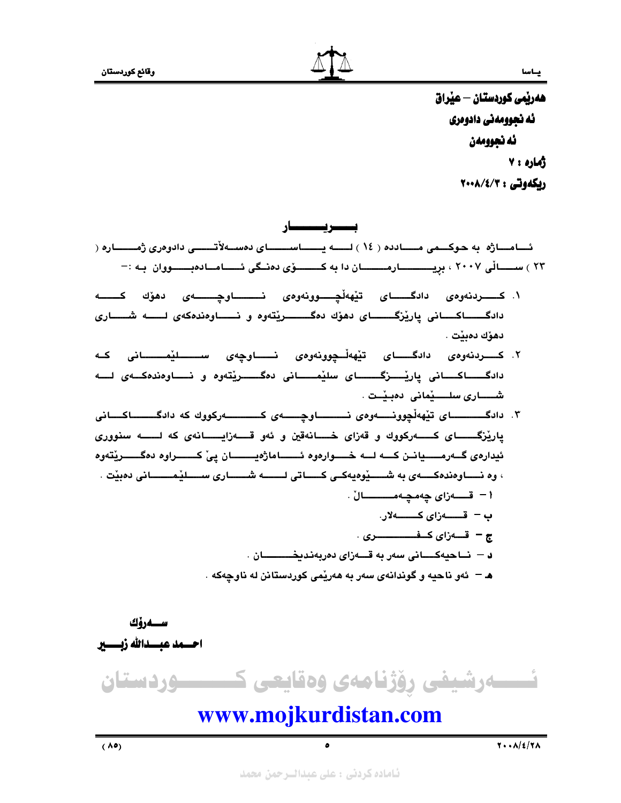

هەريمى كوردستان — عيراق ئه نجوومەنى دادوەرى ئه نجوومهن ژماره ، ۷

ربكەوتى : ٢٠٠٨/٤/٣

بــــــــریــــــــــــار ئــــامــــاژه به حـوكـــمى مــــــادده ( ١٤ ) لــــــه يــــــــاســــــــاى دهســـهلآتـــــــى دادوهرى ژمــــــــاره ( ۲۳ ) ســــالی ۲۰۰۷ ، بریـــــــــارمــــــان دا به کـــــــوّی دهنــگی ئـــــامــادهبـــــووان بـه :-

- ۱. کـــــردنهوهی دادگــــــای تێههڵچـــــوونهوهی نــــــــــاوچــــــــهی دهۆك كـــــــه دادگــــاکـــانی یاریْزگـــــای دهوّك دهگــــــریْتهوه و نـــــاوهندهکهی لــــه شــــاری دهۆك دەىنت .
- ۲. کـــــردنهوهی دادگــــــای تێههڵـــچوونهوهی نـــــــاوچهی ســــــــلێمــــــــانی کــه دادگــــاکـــانی پارێـــــزگــــــای سلێمـــــانی دهگــــــرێتهوه و نــــاوهندهکــهی لـــه شــــــارى سلـــــێمانى دەبـێــت .
- ۳. دادگـــــــای تیههڵچوونـــهوهی نــــــاوچـــهی کــــــهرکووك که دادگـــــاکــانی ياريْزگــــاي كـــەركووك و قەزاي خـــانەقين و ئەو قـــەزايــــانەي كە لــــە سنووري ئيدارەي گــەرمـــــيانــن كــــه لــــه خـــــوارەوه ئــــــــاماژەيـــــــــان يـيّ كــــــــراوه دەگـــــــرێتەوه ، وه نــــاوهندهكـــــهى به شــــــێوهيهكــى كـــــاتى لـــــــه شــــــارى ســـــلێمـــــــانى دهبێت ۱ – قــــــەزاى چەمچــەمـــــــــــالْ . د – نــاحيهكــــانى سهر به قـــهزاى دەربەندىخــــــــان . هـ – ئەو ناحيه و گوندانەي سەر بە ھەرێمى كوردستانن لە ناوچەكە .

ســەرۆك احسمد عبسدالله زبسسير نسسەرشیفی رۆژنامەی وەقايعی كــــــــوردستان www.mojkurdistan.com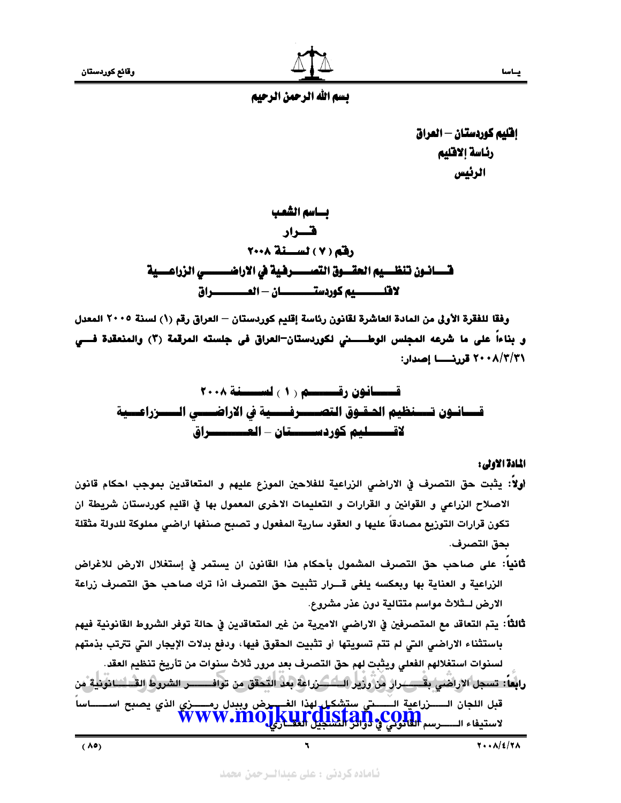إفليم كوردستان — العراق رئاسة إلاقليم الرئيس

بساسم الشعب قسرار رفقم (٧) لسنة ٢٠٠٨ قــــــــــانـــون تنظــــــــــيم الحقــــــوق الله في الأراضــــــــــــي الزراعـــــية لافلـــــــــيم كوردستـــــــــان – المــــــــــــراق

وفقا للفقرة الأولى من المادة العاشرة لقانون رئاسة إقليم كوردستان — العراق رقم (١) لسنة ٢٠٠٥ المعدل ٢٠٠٨/٣/٣١ قررنـــــــــا إصدار:

المادة الاولى :

- أولاً: يثبت حق التصرف في الاراضى الزراعية للفلاحين الموزع عليهم و المتعاقدين بموجب احكام قانون الاصلاح الزراعي و القوانين و القرارات و التعليمات الاخرى المعمول بها في اقليم كوردستان شريطة ان تكون قرارات التوزيع مصادقا عليها و العقود سارية المفعول و تصبح صنفها اراضى مملوكة للدولة مثقلة بحق التصرف.
- **ثانياً: على صاحب حق التصرف المشمول بأحكام هذا القانون ان يستمر في إستغلال الارض للاغراض** الزراعية و العناية بها وبعكسه يلغي قـــرار تثبيت حق التصرف اذا ترك صاحب حق التصرف زراعة الارض لــثلاث مواسم متتالية دون عذر مشروع.
- ثالثاً: يتم التعاقد مع المتصرفين في الاراضـى الاميرية من غير المتعاقدين في حالة توفر الشروط القانونية فيهم باستثناء الاراضي التي لم تتم تسويتها أو تثبيت الحقوق فيها، ودفع بدلات الإيجار التي تترتب بذمتهم لسنوات استغلالهم الفعلي ويثبت لهم حق التصرف بعد مرور ثلاث سنوات من تأريخ تنظيم العقد.
- رابعاً: تسجل الإراضي بقــــــــرار من ورير الــــــــــرراعة بعد التحقق من توافــــــــــر الشروط القـــلــــانونية من .<br>قبل اللجان الــــــــزراعية الــــــــــــي ستشكيل لهذا الغــــــوض وببدل رمــــــــــزي الذي يصبح اســــــــاساً لاستيفاء الــــــرسم الثانولي؟ والتي المتابع إلى w w w.moj

 $(\Lambda$ e)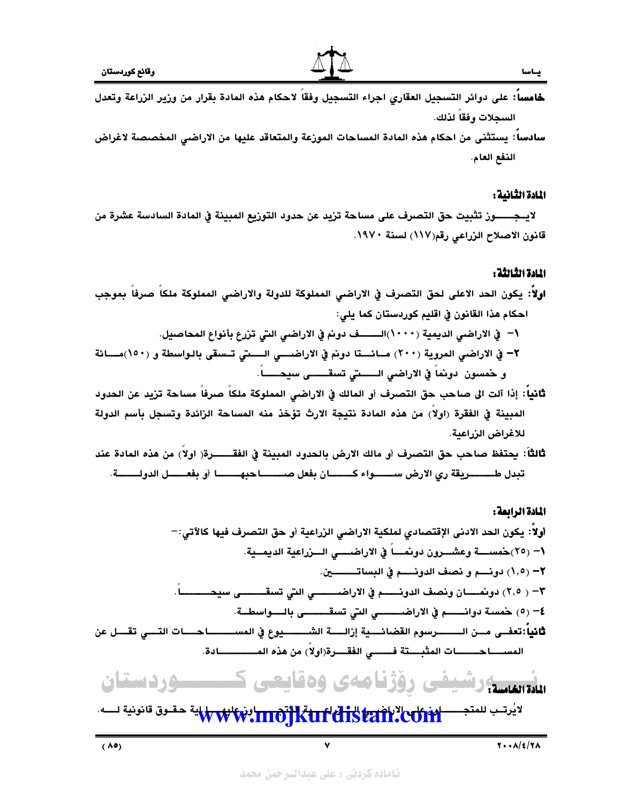

- خامساً: على دوائر التسجيل العقاري اجراء التسجيل وفقاً لاحكام هذه المادة بقرار من وزير الزراعة وتعدل السحلات وفقاً لذلك.
- سادسا: يستثنى من احكام هذه المادة المساحات الموزعة والمتعاقد عليها من الاراضى المخصصة لاغراض الذفع العام.

### المادة الثانية :

لايـــمـــــــــوز تثبيت حق التصرف على مساحة تزيد عن حدود التوزيع المبينة في المادة السادسة عشرة من قانون الاصلاح الزراعي رقم(١١٧) لسنة ١٩٧٠.

# المادة الثالثة :

- اولاً: يكون الحد الاعلى لحق التصرف في الاراضى المملوكة للدولة والاراضى المملوكة ملكاً صرفاً بموجب احكام هذا القانون في اقليم كوردستان كما يلي: ١− في الاراضي الديمية (١٠٠٠)الـــــف دونم في الاراضي التي تزرع بأنواع المحاصيل. ٢– في الاراضي المروية (٢٠٠) مــائـــتا دونم في الاراضــــي الــــتي تــسقي بالـواسطة و (١٥٠)مــــائة و خمسون دونماً في الاراضي الـــــتي تسقــــــي سيحــــــاً.
- ثَّانياً: إذا آلت الى صاحب حق التصرف أو المالك في الاراضى المملوكة ملكاً صرفاً مساحة تزيد عن الحدود المبينة في الفقرة (اولاً) من هذه المادة نتيجة الارث تؤخذ منه المساحة الزائدة وتسجل بأسم الدولة للاغراض الزراعية.
- ثالثاً: يحتفظ صاحب حق التصرف أو مالك الارض بالحدود المبينة في الفقـــــــرة( اولا) من هذه المادة عند تبدل طــــــــــريقة ري الارض ســـــــــواء كــــــــــان بفعل صــــــــــــا حبهــــــــــــــــــــ أو بفعـــــــــل الدولـــــــــــة.

# المادة الرائعة:



لايُرتــب للمتجـــــــ<mark>الإثرات الاتار بالاتار بالاتار بالاتار بالاتار بالله تحقـوق قانونية لــــه.</mark>